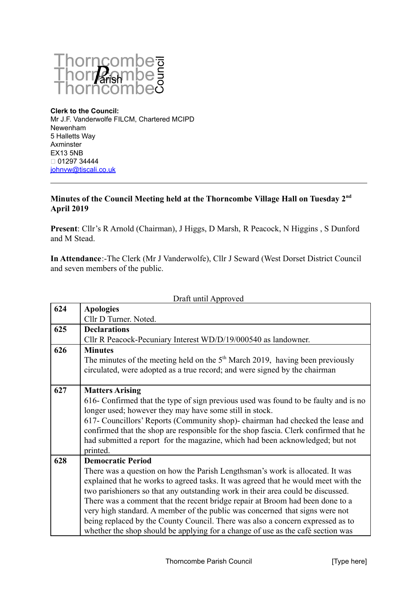

**Clerk to the Council:** Mr J.F. Vanderwolfe FILCM, Chartered MCIPD Newenham 5 Halletts Way Axminster EX13 5NB 01297 34444 [johnvw@tiscali.co.uk](mailto:johnvw@tiscali.co.uk)

## **Minutes of the Council Meeting held at the Thorncombe Village Hall on Tuesday 2nd April 2019**

**Present**: Cllr's R Arnold (Chairman), J Higgs, D Marsh, R Peacock, N Higgins , S Dunford and M Stead.

**In Attendance**:-The Clerk (Mr J Vanderwolfe), Cllr J Seward (West Dorset District Council and seven members of the public.

Draft until Approved

| 624 | <b>Apologies</b>                                                                     |
|-----|--------------------------------------------------------------------------------------|
|     | Cllr D Turner. Noted.                                                                |
| 625 | <b>Declarations</b>                                                                  |
|     | Cllr R Peacock-Pecuniary Interest WD/D/19/000540 as landowner.                       |
| 626 | <b>Minutes</b>                                                                       |
|     | The minutes of the meeting held on the $5th$ March 2019, having been previously      |
|     | circulated, were adopted as a true record; and were signed by the chairman           |
|     |                                                                                      |
| 627 | <b>Matters Arising</b>                                                               |
|     | 616- Confirmed that the type of sign previous used was found to be faulty and is no  |
|     | longer used; however they may have some still in stock.                              |
|     | 617- Councillors' Reports (Community shop)- chairman had checked the lease and       |
|     | confirmed that the shop are responsible for the shop fascia. Clerk confirmed that he |
|     | had submitted a report for the magazine, which had been acknowledged; but not        |
|     | printed.                                                                             |
| 628 | <b>Democratic Period</b>                                                             |
|     | There was a question on how the Parish Lengthsman's work is allocated. It was        |
|     | explained that he works to agreed tasks. It was agreed that he would meet with the   |
|     | two parishioners so that any outstanding work in their area could be discussed.      |
|     | There was a comment that the recent bridge repair at Broom had been done to a        |
|     | very high standard. A member of the public was concerned that signs were not         |
|     | being replaced by the County Council. There was also a concern expressed as to       |
|     | whether the shop should be applying for a change of use as the café section was      |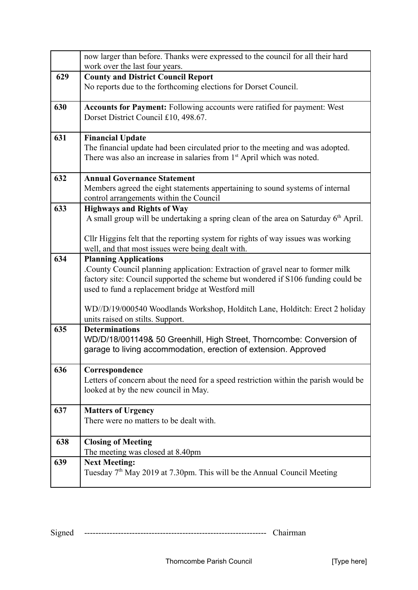|     | now larger than before. Thanks were expressed to the council for all their hard<br>work over the last four years.                                                    |
|-----|----------------------------------------------------------------------------------------------------------------------------------------------------------------------|
| 629 | <b>County and District Council Report</b>                                                                                                                            |
|     | No reports due to the forthcoming elections for Dorset Council.                                                                                                      |
| 630 | <b>Accounts for Payment:</b> Following accounts were ratified for payment: West<br>Dorset District Council £10, 498.67.                                              |
| 631 | <b>Financial Update</b>                                                                                                                                              |
|     | The financial update had been circulated prior to the meeting and was adopted.<br>There was also an increase in salaries from 1 <sup>st</sup> April which was noted. |
| 632 | <b>Annual Governance Statement</b>                                                                                                                                   |
|     | Members agreed the eight statements appertaining to sound systems of internal<br>control arrangements within the Council                                             |
| 633 | <b>Highways and Rights of Way</b>                                                                                                                                    |
|     | A small group will be undertaking a spring clean of the area on Saturday 6 <sup>th</sup> April.                                                                      |
|     | Cllr Higgins felt that the reporting system for rights of way issues was working                                                                                     |
|     | well, and that most issues were being dealt with.                                                                                                                    |
| 634 | <b>Planning Applications</b>                                                                                                                                         |
|     | County Council planning application: Extraction of gravel near to former milk                                                                                        |
|     | factory site: Council supported the scheme but wondered if S106 funding could be<br>used to fund a replacement bridge at Westford mill                               |
|     | WD//D/19/000540 Woodlands Workshop, Holditch Lane, Holditch: Erect 2 holiday<br>units raised on stilts. Support.                                                     |
| 635 | <b>Determinations</b>                                                                                                                                                |
|     | WD/D/18/001149& 50 Greenhill, High Street, Thorncombe: Conversion of<br>garage to living accommodation, erection of extension. Approved                              |
| 636 | Correspondence                                                                                                                                                       |
|     | Letters of concern about the need for a speed restriction within the parish would be                                                                                 |
|     | looked at by the new council in May.                                                                                                                                 |
| 637 | <b>Matters of Urgency</b>                                                                                                                                            |
|     | There were no matters to be dealt with.                                                                                                                              |
| 638 | <b>Closing of Meeting</b>                                                                                                                                            |
|     | The meeting was closed at 8.40pm                                                                                                                                     |
| 639 | <b>Next Meeting:</b><br>Tuesday 7 <sup>th</sup> May 2019 at 7.30pm. This will be the Annual Council Meeting                                                          |
|     |                                                                                                                                                                      |

Signed ----------------------------------------------------------------- Chairman